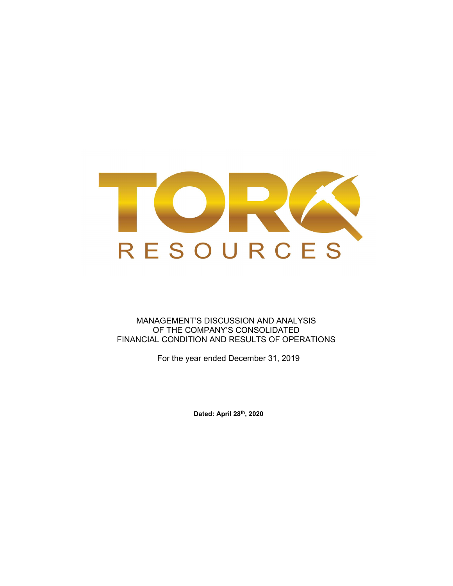

MANAGEMENT'S DISCUSSION AND ANALYSIS OF THE COMPANY'S CONSOLIDATED FINANCIAL CONDITION AND RESULTS OF OPERATIONS

For the year ended December 31, 2019

Dated: April 28th, 2020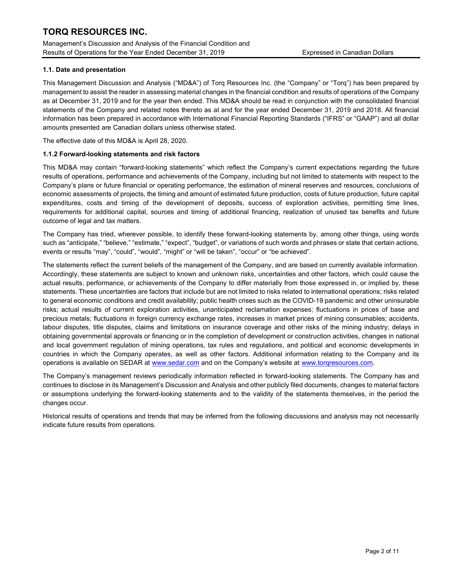Management's Discussion and Analysis of the Financial Condition and Results of Operations for the Year Ended December 31, 2019 Expressed in Canadian Dollars

### 1.1. Date and presentation

This Management Discussion and Analysis ("MD&A") of Torq Resources Inc. (the "Company" or "Torq") has been prepared by management to assist the reader in assessing material changes in the financial condition and results of operations of the Company as at December 31, 2019 and for the year then ended. This MD&A should be read in conjunction with the consolidated financial statements of the Company and related notes thereto as at and for the year ended December 31, 2019 and 2018. All financial information has been prepared in accordance with International Financial Reporting Standards ("IFRS" or "GAAP") and all dollar amounts presented are Canadian dollars unless otherwise stated.

The effective date of this MD&A is April 28, 2020.

### 1.1.2 Forward-looking statements and risk factors

This MD&A may contain "forward-looking statements" which reflect the Company's current expectations regarding the future results of operations, performance and achievements of the Company, including but not limited to statements with respect to the Company's plans or future financial or operating performance, the estimation of mineral reserves and resources, conclusions of economic assessments of projects, the timing and amount of estimated future production, costs of future production, future capital expenditures, costs and timing of the development of deposits, success of exploration activities, permitting time lines, requirements for additional capital, sources and timing of additional financing, realization of unused tax benefits and future outcome of legal and tax matters.

The Company has tried, wherever possible, to identify these forward-looking statements by, among other things, using words such as "anticipate," "believe," "estimate," "expect", "budget", or variations of such words and phrases or state that certain actions, events or results "may", "could", "would", "might" or "will be taken", "occur" or "be achieved".

The statements reflect the current beliefs of the management of the Company, and are based on currently available information. Accordingly, these statements are subject to known and unknown risks, uncertainties and other factors, which could cause the actual results, performance, or achievements of the Company to differ materially from those expressed in, or implied by, these statements. These uncertainties are factors that include but are not limited to risks related to international operations; risks related to general economic conditions and credit availability; public health crises such as the COVID-19 pandemic and other uninsurable risks; actual results of current exploration activities, unanticipated reclamation expenses; fluctuations in prices of base and precious metals; fluctuations in foreign currency exchange rates, increases in market prices of mining consumables; accidents, labour disputes, title disputes, claims and limitations on insurance coverage and other risks of the mining industry; delays in obtaining governmental approvals or financing or in the completion of development or construction activities, changes in national and local government regulation of mining operations, tax rules and regulations, and political and economic developments in countries in which the Company operates, as well as other factors. Additional information relating to the Company and its operations is available on SEDAR at www.sedar.com and on the Company's website at www.torqresources.com.

The Company's management reviews periodically information reflected in forward-looking statements. The Company has and continues to disclose in its Management's Discussion and Analysis and other publicly filed documents, changes to material factors or assumptions underlying the forward-looking statements and to the validity of the statements themselves, in the period the changes occur.

Historical results of operations and trends that may be inferred from the following discussions and analysis may not necessarily indicate future results from operations.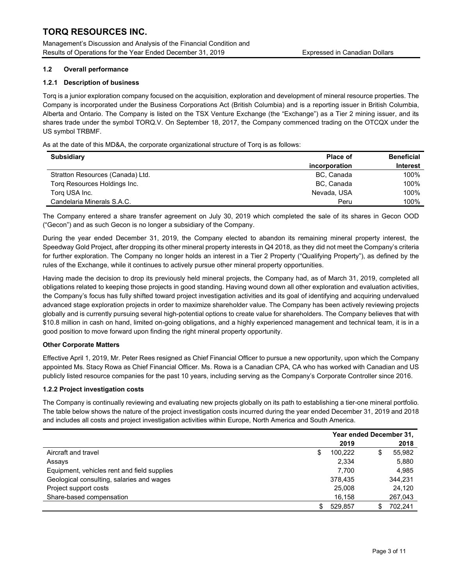Management's Discussion and Analysis of the Financial Condition and Results of Operations for the Year Ended December 31, 2019 Expressed in Canadian Dollars

### 1.2 Overall performance

### 1.2.1 Description of business

Torq is a junior exploration company focused on the acquisition, exploration and development of mineral resource properties. The Company is incorporated under the Business Corporations Act (British Columbia) and is a reporting issuer in British Columbia, Alberta and Ontario. The Company is listed on the TSX Venture Exchange (the "Exchange") as a Tier 2 mining issuer, and its shares trade under the symbol TORQ.V. On September 18, 2017, the Company commenced trading on the OTCQX under the US symbol TRBMF.

As at the date of this MD&A, the corporate organizational structure of Torq is as follows:

| <b>Subsidiary</b>                | <b>Place of</b> | <b>Beneficial</b> |
|----------------------------------|-----------------|-------------------|
|                                  | incorporation   | <b>Interest</b>   |
| Stratton Resources (Canada) Ltd. | BC, Canada      | 100%              |
| Torg Resources Holdings Inc.     | BC, Canada      | 100%              |
| Torg USA Inc.                    | Nevada, USA     | 100%              |
| Candelaria Minerals S.A.C.       | Peru            | 100%              |

The Company entered a share transfer agreement on July 30, 2019 which completed the sale of its shares in Gecon OOD ("Gecon") and as such Gecon is no longer a subsidiary of the Company.

During the year ended December 31, 2019, the Company elected to abandon its remaining mineral property interest, the Speedway Gold Project, after dropping its other mineral property interests in Q4 2018, as they did not meet the Company's criteria for further exploration. The Company no longer holds an interest in a Tier 2 Property ("Qualifying Property"), as defined by the rules of the Exchange, while it continues to actively pursue other mineral property opportunities.

Having made the decision to drop its previously held mineral projects, the Company had, as of March 31, 2019, completed all obligations related to keeping those projects in good standing. Having wound down all other exploration and evaluation activities, the Company's focus has fully shifted toward project investigation activities and its goal of identifying and acquiring undervalued advanced stage exploration projects in order to maximize shareholder value. The Company has been actively reviewing projects globally and is currently pursuing several high-potential options to create value for shareholders. The Company believes that with \$10.8 million in cash on hand, limited on-going obligations, and a highly experienced management and technical team, it is in a good position to move forward upon finding the right mineral property opportunity.

### Other Corporate Matters

Effective April 1, 2019, Mr. Peter Rees resigned as Chief Financial Officer to pursue a new opportunity, upon which the Company appointed Ms. Stacy Rowa as Chief Financial Officer. Ms. Rowa is a Canadian CPA, CA who has worked with Canadian and US publicly listed resource companies for the past 10 years, including serving as the Company's Corporate Controller since 2016.

### 1.2.2 Project investigation costs

The Company is continually reviewing and evaluating new projects globally on its path to establishing a tier-one mineral portfolio. The table below shows the nature of the project investigation costs incurred during the year ended December 31, 2019 and 2018 and includes all costs and project investigation activities within Europe, North America and South America.

|                                             | Year ended December 31, |         |    |         |
|---------------------------------------------|-------------------------|---------|----|---------|
|                                             |                         | 2019    |    | 2018    |
| Aircraft and travel                         | S                       | 100.222 | Œ  | 55,982  |
| Assays                                      |                         | 2,334   |    | 5,880   |
| Equipment, vehicles rent and field supplies |                         | 7.700   |    | 4.985   |
| Geological consulting, salaries and wages   |                         | 378.435 |    | 344,231 |
| Project support costs                       |                         | 25,008  |    | 24,120  |
| Share-based compensation                    |                         | 16.158  |    | 267,043 |
|                                             | \$.                     | 529.857 | \$ | 702.241 |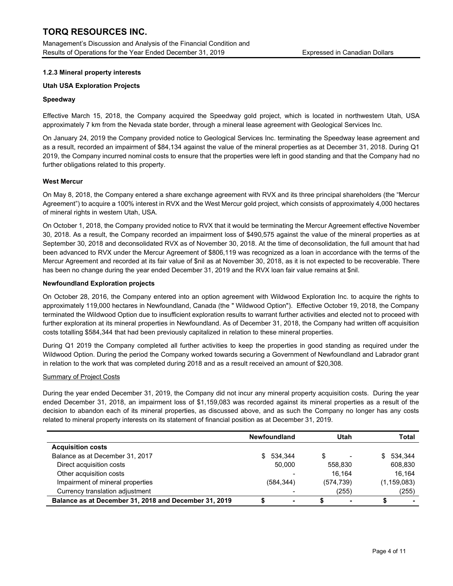Management's Discussion and Analysis of the Financial Condition and Results of Operations for the Year Ended December 31, 2019 **Expressed in Canadian Dollars** 

### 1.2.3 Mineral property interests

### Utah USA Exploration Projects

### Speedway

Effective March 15, 2018, the Company acquired the Speedway gold project, which is located in northwestern Utah, USA approximately 7 km from the Nevada state border, through a mineral lease agreement with Geological Services Inc.

On January 24, 2019 the Company provided notice to Geological Services Inc. terminating the Speedway lease agreement and as a result, recorded an impairment of \$84,134 against the value of the mineral properties as at December 31, 2018. During Q1 2019, the Company incurred nominal costs to ensure that the properties were left in good standing and that the Company had no further obligations related to this property.

### West Mercur

On May 8, 2018, the Company entered a share exchange agreement with RVX and its three principal shareholders (the "Mercur Agreement") to acquire a 100% interest in RVX and the West Mercur gold project, which consists of approximately 4,000 hectares of mineral rights in western Utah, USA.

On October 1, 2018, the Company provided notice to RVX that it would be terminating the Mercur Agreement effective November 30, 2018. As a result, the Company recorded an impairment loss of \$490,575 against the value of the mineral properties as at September 30, 2018 and deconsolidated RVX as of November 30, 2018. At the time of deconsolidation, the full amount that had been advanced to RVX under the Mercur Agreement of \$806,119 was recognized as a loan in accordance with the terms of the Mercur Agreement and recorded at its fair value of \$nil as at November 30, 2018, as it is not expected to be recoverable. There has been no change during the year ended December 31, 2019 and the RVX loan fair value remains at \$nil.

### Newfoundland Exploration projects

On October 28, 2016, the Company entered into an option agreement with Wildwood Exploration Inc. to acquire the rights to approximately 119,000 hectares in Newfoundland, Canada (the " Wildwood Option"). Effective October 19, 2018, the Company terminated the Wildwood Option due to insufficient exploration results to warrant further activities and elected not to proceed with further exploration at its mineral properties in Newfoundland. As of December 31, 2018, the Company had written off acquisition costs totalling \$584,344 that had been previously capitalized in relation to these mineral properties.

During Q1 2019 the Company completed all further activities to keep the properties in good standing as required under the Wildwood Option. During the period the Company worked towards securing a Government of Newfoundland and Labrador grant in relation to the work that was completed during 2018 and as a result received an amount of \$20,308.

### Summary of Project Costs

During the year ended December 31, 2019, the Company did not incur any mineral property acquisition costs. During the year ended December 31, 2018, an impairment loss of \$1,159,083 was recorded against its mineral properties as a result of the decision to abandon each of its mineral properties, as discussed above, and as such the Company no longer has any costs related to mineral property interests on its statement of financial position as at December 31, 2019.

|                                                       | <b>Newfoundland</b> | Utah       | Total         |
|-------------------------------------------------------|---------------------|------------|---------------|
| <b>Acquisition costs</b>                              |                     |            |               |
| Balance as at December 31, 2017                       | \$ 534.344          | S          | 534.344<br>S. |
| Direct acquisition costs                              | 50.000              | 558.830    | 608,830       |
| Other acquisition costs                               |                     | 16.164     | 16.164        |
| Impairment of mineral properties                      | (584, 344)          | (574, 739) | (1, 159, 083) |
| Currency translation adjustment                       |                     | (255)      | (255)         |
| Balance as at December 31, 2018 and December 31, 2019 |                     |            |               |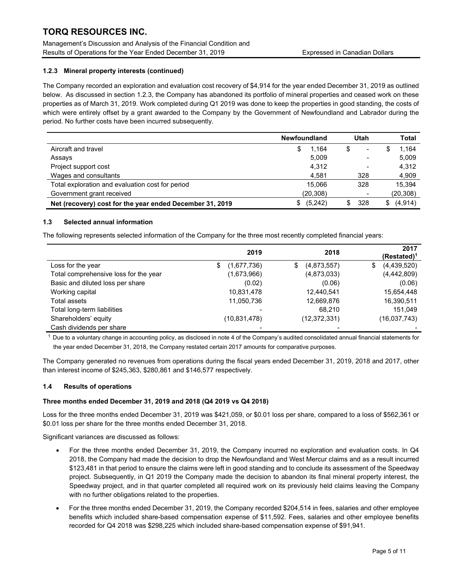Management's Discussion and Analysis of the Financial Condition and Results of Operations for the Year Ended December 31, 2019 Expressed in Canadian Dollars

## 1.2.3 Mineral property interests (continued)

The Company recorded an exploration and evaluation cost recovery of \$4,914 for the year ended December 31, 2019 as outlined below. As discussed in section 1.2.3, the Company has abandoned its portfolio of mineral properties and ceased work on these properties as of March 31, 2019. Work completed during Q1 2019 was done to keep the properties in good standing, the costs of which were entirely offset by a grant awarded to the Company by the Government of Newfoundland and Labrador during the period. No further costs have been incurred subsequently.

|                                                          | <b>Newfoundland</b> | Utah | Total           |
|----------------------------------------------------------|---------------------|------|-----------------|
| Aircraft and travel                                      | 1.164<br>\$         | \$   | 1.164           |
| Assays                                                   | 5,009               |      | 5,009           |
| Project support cost                                     | 4,312               |      | 4,312           |
| Wages and consultants                                    | 4,581               | 328  | 4,909           |
| Total exploration and evaluation cost for period         | 15.066              | 328  | 15.394          |
| Government grant received                                | (20, 308)           |      | (20, 308)       |
| Net (recovery) cost for the year ended December 31, 2019 | (5,242)<br>\$.      | 328  | (4, 914)<br>SS. |

### 1.3 Selected annual information

The following represents selected information of the Company for the three most recently completed financial years:

|                                       | 2019              | 2018             | 2017<br>$(Restated)^1$ |
|---------------------------------------|-------------------|------------------|------------------------|
| Loss for the year                     | (1,677,736)<br>\$ | (4,873,557)<br>S | (4,439,520)<br>\$      |
| Total comprehensive loss for the year | (1,673,966)       | (4,873,033)      | (4,442,809)            |
| Basic and diluted loss per share      | (0.02)            | (0.06)           | (0.06)                 |
| Working capital                       | 10,831,478        | 12,440,541       | 15,654,448             |
| Total assets                          | 11,050,736        | 12,669,876       | 16,390,511             |
| Total long-term liabilities           |                   | 68.210           | 151,049                |
| Shareholders' equity                  | (10, 831, 478)    | (12, 372, 331)   | (16,037,743)           |
| Cash dividends per share              |                   |                  |                        |

 $1$  Due to a voluntary change in accounting policy, as disclosed in note 4 of the Company's audited consolidated annual financial statements for the year ended December 31, 2018, the Company restated certain 2017 amounts for comparative purposes.

The Company generated no revenues from operations during the fiscal years ended December 31, 2019, 2018 and 2017, other than interest income of \$245,363, \$280,861 and \$146,577 respectively.

### 1.4 Results of operations

### Three months ended December 31, 2019 and 2018 (Q4 2019 vs Q4 2018)

Loss for the three months ended December 31, 2019 was \$421,059, or \$0.01 loss per share, compared to a loss of \$562,361 or \$0.01 loss per share for the three months ended December 31, 2018.

Significant variances are discussed as follows:

- For the three months ended December 31, 2019, the Company incurred no exploration and evaluation costs. In Q4 2018, the Company had made the decision to drop the Newfoundland and West Mercur claims and as a result incurred \$123,481 in that period to ensure the claims were left in good standing and to conclude its assessment of the Speedway project. Subsequently, in Q1 2019 the Company made the decision to abandon its final mineral property interest, the Speedway project, and in that quarter completed all required work on its previously held claims leaving the Company with no further obligations related to the properties.
- For the three months ended December 31, 2019, the Company recorded \$204,514 in fees, salaries and other employee benefits which included share-based compensation expense of \$11,592. Fees, salaries and other employee benefits recorded for Q4 2018 was \$298,225 which included share-based compensation expense of \$91,941.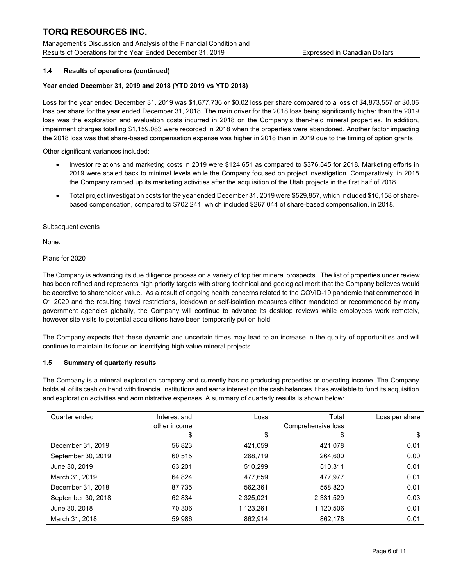Management's Discussion and Analysis of the Financial Condition and Results of Operations for the Year Ended December 31, 2019 Expressed in Canadian Dollars

### 1.4 Results of operations (continued)

### Year ended December 31, 2019 and 2018 (YTD 2019 vs YTD 2018)

Loss for the year ended December 31, 2019 was \$1,677,736 or \$0.02 loss per share compared to a loss of \$4,873,557 or \$0.06 loss per share for the year ended December 31, 2018. The main driver for the 2018 loss being significantly higher than the 2019 loss was the exploration and evaluation costs incurred in 2018 on the Company's then-held mineral properties. In addition, impairment charges totalling \$1,159,083 were recorded in 2018 when the properties were abandoned. Another factor impacting the 2018 loss was that share-based compensation expense was higher in 2018 than in 2019 due to the timing of option grants.

Other significant variances included:

- Investor relations and marketing costs in 2019 were \$124,651 as compared to \$376,545 for 2018. Marketing efforts in 2019 were scaled back to minimal levels while the Company focused on project investigation. Comparatively, in 2018 the Company ramped up its marketing activities after the acquisition of the Utah projects in the first half of 2018.
- Total project investigation costs for the year ended December 31, 2019 were \$529,857, which included \$16,158 of sharebased compensation, compared to \$702,241, which included \$267,044 of share-based compensation, in 2018.

#### Subsequent events

None.

### Plans for 2020

The Company is advancing its due diligence process on a variety of top tier mineral prospects. The list of properties under review has been refined and represents high priority targets with strong technical and geological merit that the Company believes would be accretive to shareholder value. As a result of ongoing health concerns related to the COVID-19 pandemic that commenced in Q1 2020 and the resulting travel restrictions, lockdown or self-isolation measures either mandated or recommended by many government agencies globally, the Company will continue to advance its desktop reviews while employees work remotely, however site visits to potential acquisitions have been temporarily put on hold.

The Company expects that these dynamic and uncertain times may lead to an increase in the quality of opportunities and will continue to maintain its focus on identifying high value mineral projects.

### 1.5 Summary of quarterly results

The Company is a mineral exploration company and currently has no producing properties or operating income. The Company holds all of its cash on hand with financial institutions and earns interest on the cash balances it has available to fund its acquisition and exploration activities and administrative expenses. A summary of quarterly results is shown below:

| Quarter ended      | Interest and | Loss      | Total              | Loss per share |
|--------------------|--------------|-----------|--------------------|----------------|
|                    | other income |           | Comprehensive loss |                |
|                    | \$           | \$        | \$                 | \$             |
| December 31, 2019  | 56,823       | 421,059   | 421,078            | 0.01           |
| September 30, 2019 | 60,515       | 268,719   | 264,600            | 0.00           |
| June 30, 2019      | 63,201       | 510.299   | 510,311            | 0.01           |
| March 31, 2019     | 64.824       | 477,659   | 477,977            | 0.01           |
| December 31, 2018  | 87,735       | 562.361   | 558,820            | 0.01           |
| September 30, 2018 | 62.834       | 2,325,021 | 2,331,529          | 0.03           |
| June 30, 2018      | 70.306       | 1,123,261 | 1,120,506          | 0.01           |
| March 31, 2018     | 59.986       | 862.914   | 862.178            | 0.01           |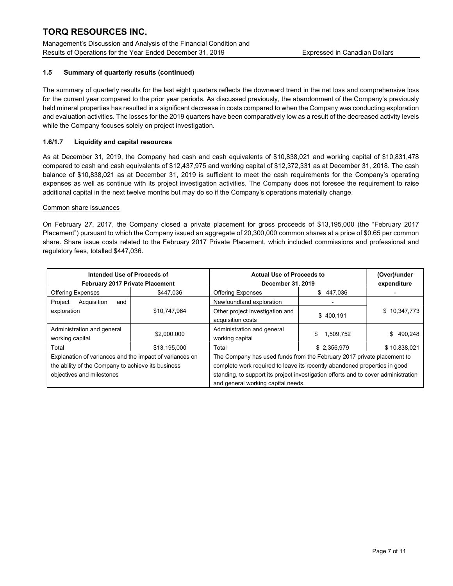Management's Discussion and Analysis of the Financial Condition and Results of Operations for the Year Ended December 31, 2019 Expressed in Canadian Dollars

## 1.5 Summary of quarterly results (continued)

The summary of quarterly results for the last eight quarters reflects the downward trend in the net loss and comprehensive loss for the current year compared to the prior year periods. As discussed previously, the abandonment of the Company's previously held mineral properties has resulted in a significant decrease in costs compared to when the Company was conducting exploration and evaluation activities. The losses for the 2019 quarters have been comparatively low as a result of the decreased activity levels while the Company focuses solely on project investigation.

### 1.6/1.7 Liquidity and capital resources

As at December 31, 2019, the Company had cash and cash equivalents of \$10,838,021 and working capital of \$10,831,478 compared to cash and cash equivalents of \$12,437,975 and working capital of \$12,372,331 as at December 31, 2018. The cash balance of \$10,838,021 as at December 31, 2019 is sufficient to meet the cash requirements for the Company's operating expenses as well as continue with its project investigation activities. The Company does not foresee the requirement to raise additional capital in the next twelve months but may do so if the Company's operations materially change.

### Common share issuances

On February 27, 2017, the Company closed a private placement for gross proceeds of \$13,195,000 (the "February 2017 Placement") pursuant to which the Company issued an aggregate of 20,300,000 common shares at a price of \$0.65 per common share. Share issue costs related to the February 2017 Private Placement, which included commissions and professional and regulatory fees, totalled \$447,036.

| Intended Use of Proceeds of<br>February 2017 Private Placement                                                                             |              | <b>Actual Use of Proceeds to</b><br>December 31, 2019                                                                                                                                                                                     |                 | (Over)/under<br>expenditure |
|--------------------------------------------------------------------------------------------------------------------------------------------|--------------|-------------------------------------------------------------------------------------------------------------------------------------------------------------------------------------------------------------------------------------------|-----------------|-----------------------------|
| <b>Offering Expenses</b>                                                                                                                   | \$447.036    | <b>Offering Expenses</b>                                                                                                                                                                                                                  | \$447,036       |                             |
| Project<br>Acquisition<br>and                                                                                                              |              | Newfoundland exploration                                                                                                                                                                                                                  |                 |                             |
| exploration                                                                                                                                | \$10,747,964 | Other project investigation and<br>acquisition costs                                                                                                                                                                                      | \$400.191       | \$10,347,773                |
| Administration and general<br>working capital                                                                                              | \$2,000,000  | Administration and general<br>working capital                                                                                                                                                                                             | 1,509,752<br>\$ | 490,248<br>\$               |
| Total                                                                                                                                      | \$13.195.000 | Total                                                                                                                                                                                                                                     | \$2.356.979     | \$10,838,021                |
| Explanation of variances and the impact of variances on<br>the ability of the Company to achieve its business<br>objectives and milestones |              | The Company has used funds from the February 2017 private placement to<br>complete work required to leave its recently abandoned properties in good<br>standing, to support its project investigation efforts and to cover administration |                 |                             |
|                                                                                                                                            |              | and general working capital needs.                                                                                                                                                                                                        |                 |                             |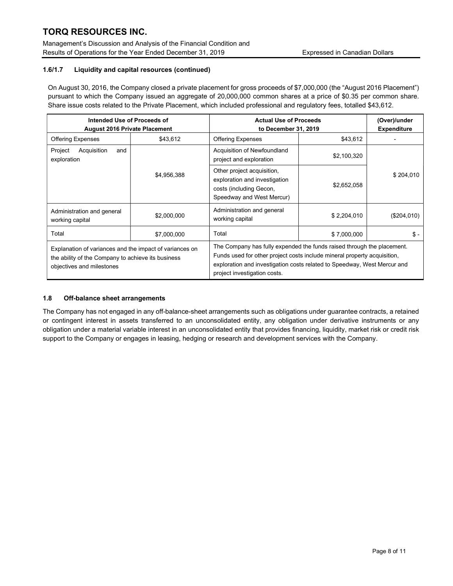Management's Discussion and Analysis of the Financial Condition and Results of Operations for the Year Ended December 31, 2019 **Expressed in Canadian Dollars** 

## 1.6/1.7 Liquidity and capital resources (continued)

On August 30, 2016, the Company closed a private placement for gross proceeds of \$7,000,000 (the "August 2016 Placement") pursuant to which the Company issued an aggregate of 20,000,000 common shares at a price of \$0.35 per common share. Share issue costs related to the Private Placement, which included professional and regulatory fees, totalled \$43,612.

| Intended Use of Proceeds of<br><b>August 2016 Private Placement</b>                                                                        |             | <b>Actual Use of Proceeds</b><br>to December 31, 2019                                                                                                                                                                                                          | (Over)/under<br><b>Expenditure</b> |             |
|--------------------------------------------------------------------------------------------------------------------------------------------|-------------|----------------------------------------------------------------------------------------------------------------------------------------------------------------------------------------------------------------------------------------------------------------|------------------------------------|-------------|
| <b>Offering Expenses</b>                                                                                                                   | \$43,612    | <b>Offering Expenses</b>                                                                                                                                                                                                                                       | \$43,612                           |             |
| Acquisition<br>Project<br>and<br>exploration                                                                                               |             | Acquisition of Newfoundland<br>project and exploration                                                                                                                                                                                                         | \$2,100,320                        |             |
|                                                                                                                                            | \$4,956,388 | Other project acquisition,<br>exploration and investigation<br>costs (including Gecon,<br>Speedway and West Mercur)                                                                                                                                            | \$2,652,058                        | \$204,010   |
| Administration and general<br>working capital                                                                                              | \$2,000,000 | Administration and general<br>working capital                                                                                                                                                                                                                  | \$2.204.010                        | (\$204,010) |
| Total                                                                                                                                      | \$7,000,000 | Total                                                                                                                                                                                                                                                          | \$7,000,000                        | \$ -        |
| Explanation of variances and the impact of variances on<br>the ability of the Company to achieve its business<br>objectives and milestones |             | The Company has fully expended the funds raised through the placement.<br>Funds used for other project costs include mineral property acquisition,<br>exploration and investigation costs related to Speedway, West Mercur and<br>project investigation costs. |                                    |             |

### 1.8 Off-balance sheet arrangements

The Company has not engaged in any off-balance-sheet arrangements such as obligations under guarantee contracts, a retained or contingent interest in assets transferred to an unconsolidated entity, any obligation under derivative instruments or any obligation under a material variable interest in an unconsolidated entity that provides financing, liquidity, market risk or credit risk support to the Company or engages in leasing, hedging or research and development services with the Company.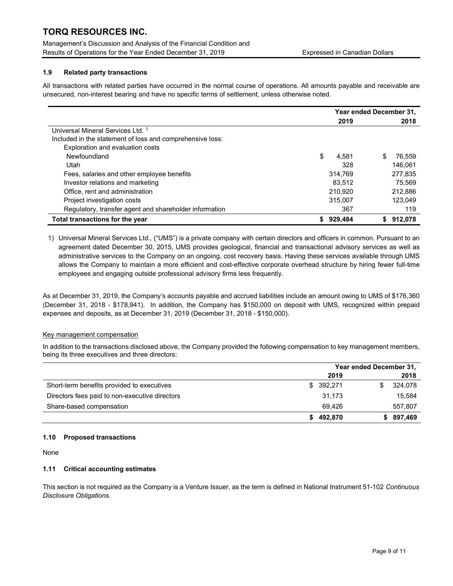Management's Discussion and Analysis of the Financial Condition and Results of Operations for the Year Ended December 31, 2019 **Expressed in Canadian Dollars** 

## 1.9 Related party transactions

All transactions with related parties have occurred in the normal course of operations. All amounts payable and receivable are unsecured, non-interest bearing and have no specific terms of settlement, unless otherwise noted.

|                                                           | Year ended December 31, |         |              |
|-----------------------------------------------------------|-------------------------|---------|--------------|
|                                                           |                         | 2019    | 2018         |
| Universal Mineral Services Ltd. 1                         |                         |         |              |
| Included in the statement of loss and comprehensive loss: |                         |         |              |
| Exploration and evaluation costs                          |                         |         |              |
| Newfoundland                                              | \$                      | 4.581   | S<br>76.559  |
| Utah                                                      |                         | 328     | 146.061      |
| Fees, salaries and other employee benefits                |                         | 314.769 | 277,835      |
| Investor relations and marketing                          |                         | 83.512  | 75.569       |
| Office, rent and administration                           |                         | 210.920 | 212.886      |
| Project investigation costs                               |                         | 315.007 | 123.049      |
| Regulatory, transfer agent and shareholder information    |                         | 367     | 119          |
| Total transactions for the year                           |                         | 929,484 | 912,078<br>S |

1) Universal Mineral Services Ltd., ("UMS") is a private company with certain directors and officers in common. Pursuant to an agreement dated December 30, 2015, UMS provides geological, financial and transactional advisory services as well as administrative services to the Company on an ongoing, cost recovery basis. Having these services available through UMS allows the Company to maintain a more efficient and cost-effective corporate overhead structure by hiring fewer full-time employees and engaging outside professional advisory firms less frequently.

As at December 31, 2019, the Company's accounts payable and accrued liabilities include an amount owing to UMS of \$176,360 (December 31, 2018 - \$178,941). In addition, the Company has \$150,000 on deposit with UMS, recognized within prepaid expenses and deposits, as at December 31, 2019 (December 31, 2018 - \$150,000).

### Key management compensation

In addition to the transactions disclosed above, the Company provided the following compensation to key management members, being its three executives and three directors:

|                                                | Year ended December 31, |               |  |
|------------------------------------------------|-------------------------|---------------|--|
|                                                | 2019                    | 2018          |  |
| Short-term benefits provided to executives     | \$392,271               | 324,078<br>S. |  |
| Directors fees paid to non-executive directors | 31,173                  | 15,584        |  |
| Share-based compensation                       | 69.426                  | 557,807       |  |
|                                                | 492,870                 | \$897,469     |  |

### 1.10 Proposed transactions

None

### 1.11 Critical accounting estimates

This section is not required as the Company is a Venture Issuer, as the term is defined in National Instrument 51-102 Continuous Disclosure Obligations.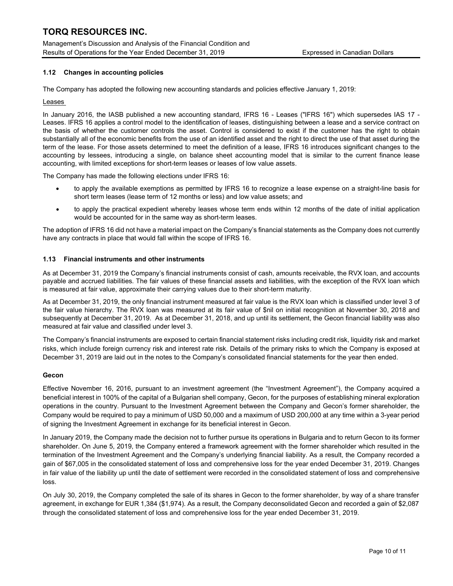Management's Discussion and Analysis of the Financial Condition and Results of Operations for the Year Ended December 31, 2019 Expressed in Canadian Dollars

### 1.12 Changes in accounting policies

The Company has adopted the following new accounting standards and policies effective January 1, 2019:

#### Leases

In January 2016, the IASB published a new accounting standard, IFRS 16 - Leases ("IFRS 16") which supersedes IAS 17 - Leases. IFRS 16 applies a control model to the identification of leases, distinguishing between a lease and a service contract on the basis of whether the customer controls the asset. Control is considered to exist if the customer has the right to obtain substantially all of the economic benefits from the use of an identified asset and the right to direct the use of that asset during the term of the lease. For those assets determined to meet the definition of a lease, IFRS 16 introduces significant changes to the accounting by lessees, introducing a single, on balance sheet accounting model that is similar to the current finance lease accounting, with limited exceptions for short-term leases or leases of low value assets.

The Company has made the following elections under IFRS 16:

- to apply the available exemptions as permitted by IFRS 16 to recognize a lease expense on a straight-line basis for short term leases (lease term of 12 months or less) and low value assets; and
- to apply the practical expedient whereby leases whose term ends within 12 months of the date of initial application would be accounted for in the same way as short-term leases.

The adoption of IFRS 16 did not have a material impact on the Company's financial statements as the Company does not currently have any contracts in place that would fall within the scope of IFRS 16.

#### 1.13 Financial instruments and other instruments

As at December 31, 2019 the Company's financial instruments consist of cash, amounts receivable, the RVX loan, and accounts payable and accrued liabilities. The fair values of these financial assets and liabilities, with the exception of the RVX loan which is measured at fair value, approximate their carrying values due to their short-term maturity.

As at December 31, 2019, the only financial instrument measured at fair value is the RVX loan which is classified under level 3 of the fair value hierarchy. The RVX loan was measured at its fair value of \$nil on initial recognition at November 30, 2018 and subsequently at December 31, 2019. As at December 31, 2018, and up until its settlement, the Gecon financial liability was also measured at fair value and classified under level 3.

The Company's financial instruments are exposed to certain financial statement risks including credit risk, liquidity risk and market risks, which include foreign currency risk and interest rate risk. Details of the primary risks to which the Company is exposed at December 31, 2019 are laid out in the notes to the Company's consolidated financial statements for the year then ended.

### Gecon

Effective November 16, 2016, pursuant to an investment agreement (the "Investment Agreement"), the Company acquired a beneficial interest in 100% of the capital of a Bulgarian shell company, Gecon, for the purposes of establishing mineral exploration operations in the country. Pursuant to the Investment Agreement between the Company and Gecon's former shareholder, the Company would be required to pay a minimum of USD 50,000 and a maximum of USD 200,000 at any time within a 3-year period of signing the Investment Agreement in exchange for its beneficial interest in Gecon.

In January 2019, the Company made the decision not to further pursue its operations in Bulgaria and to return Gecon to its former shareholder. On June 5, 2019, the Company entered a framework agreement with the former shareholder which resulted in the termination of the Investment Agreement and the Company's underlying financial liability. As a result, the Company recorded a gain of \$67,005 in the consolidated statement of loss and comprehensive loss for the year ended December 31, 2019. Changes in fair value of the liability up until the date of settlement were recorded in the consolidated statement of loss and comprehensive loss.

On July 30, 2019, the Company completed the sale of its shares in Gecon to the former shareholder, by way of a share transfer agreement, in exchange for EUR 1,384 (\$1,974). As a result, the Company deconsolidated Gecon and recorded a gain of \$2,087 through the consolidated statement of loss and comprehensive loss for the year ended December 31, 2019.